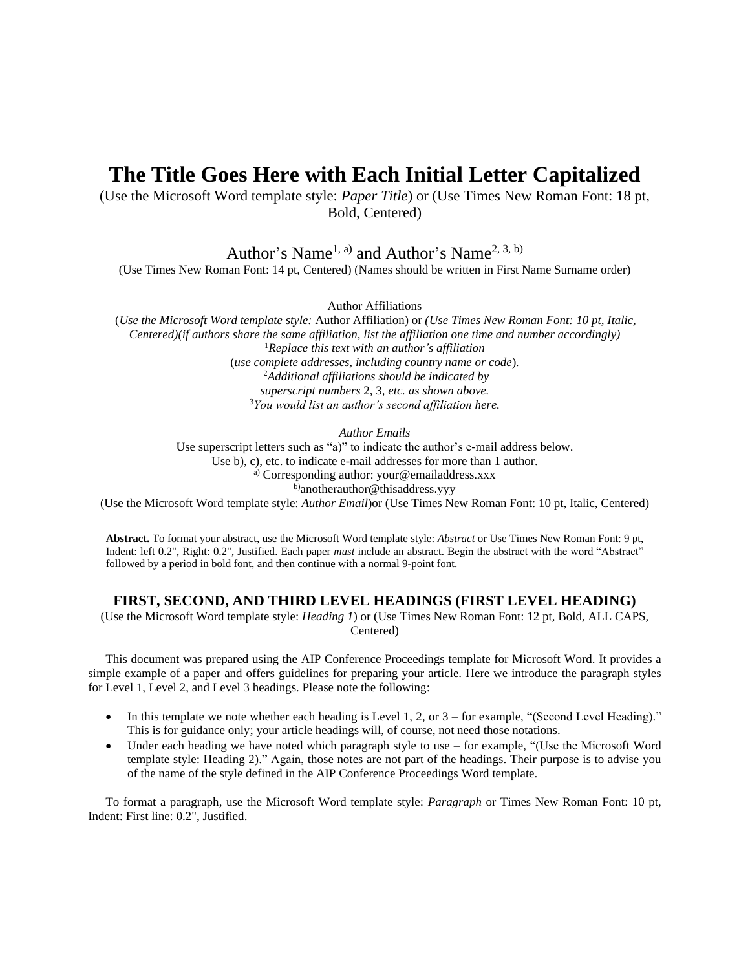# **The Title Goes Here with Each Initial Letter Capitalized**

(Use the Microsoft Word template style: *Paper Title*) or (Use Times New Roman Font: 18 pt, Bold, Centered)

Author's Name<sup>1, a)</sup> and Author's Name<sup>2, 3, b)</sup>

(Use Times New Roman Font: 14 pt, Centered) (Names should be written in First Name Surname order)

Author Affiliations

(*Use the Microsoft Word template style:* Author Affiliation) or *(Use Times New Roman Font: 10 pt, Italic, Centered)(if authors share the same affiliation, list the affiliation one time and number accordingly)* <sup>1</sup>*Replace this text with an author's affiliation*  (*use complete addresses, including country name or code*)*.* <sup>2</sup>*Additional affiliations should be indicated by superscript numbers* 2, 3*, etc. as shown above.* <sup>3</sup>*You would list an author's second affiliation here.*

*Author Emails*

Use superscript letters such as "a)" to indicate the author's e-mail address below. Use b), c), etc. to indicate e-mail addresses for more than 1 author. a) Corresponding author: your@emailaddress.xxx b)anotherauthor@thisaddress.yyy

(Use the Microsoft Word template style: *Author Email*)or (Use Times New Roman Font: 10 pt, Italic, Centered)

**Abstract.** To format your abstract, use the Microsoft Word template style: *Abstract* or Use Times New Roman Font: 9 pt, Indent: left 0.2", Right: 0.2", Justified. Each paper *must* include an abstract. Begin the abstract with the word "Abstract" followed by a period in bold font, and then continue with a normal 9-point font.

## **FIRST, SECOND, AND THIRD LEVEL HEADINGS (FIRST LEVEL HEADING)**

(Use the Microsoft Word template style: *Heading 1*) or (Use Times New Roman Font: 12 pt, Bold, ALL CAPS, Centered)

This document was prepared using the AIP Conference Proceedings template for Microsoft Word. It provides a simple example of a paper and offers guidelines for preparing your article. Here we introduce the paragraph styles for Level 1, Level 2, and Level 3 headings. Please note the following:

- In this template we note whether each heading is Level 1, 2, or  $3$  for example, "(Second Level Heading)." This is for guidance only; your article headings will, of course, not need those notations.
- Under each heading we have noted which paragraph style to use for example, "(Use the Microsoft Word template style: Heading 2)." Again, those notes are not part of the headings. Their purpose is to advise you of the name of the style defined in the AIP Conference Proceedings Word template.

To format a paragraph, use the Microsoft Word template style: *Paragraph* or Times New Roman Font: 10 pt, Indent: First line: 0.2", Justified.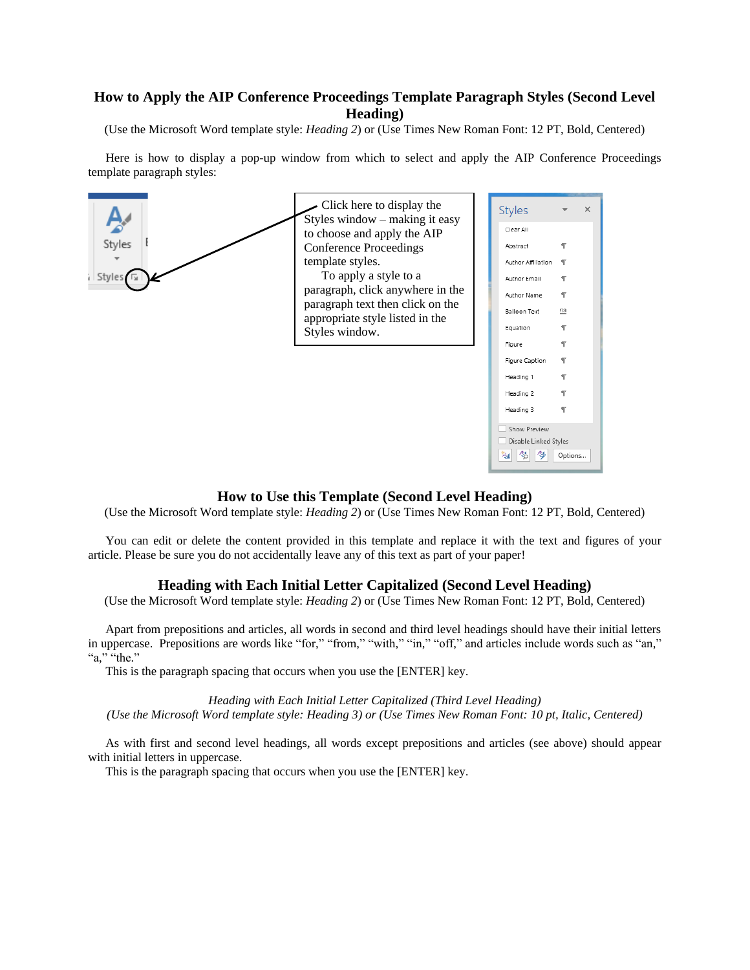# **How to Apply the AIP Conference Proceedings Template Paragraph Styles (Second Level Heading)**

(Use the Microsoft Word template style: *Heading 2*) or (Use Times New Roman Font: 12 PT, Bold, Centered)

Here is how to display a pop-up window from which to select and apply the AIP Conference Proceedings template paragraph styles:



## **How to Use this Template (Second Level Heading)**

(Use the Microsoft Word template style: *Heading 2*) or (Use Times New Roman Font: 12 PT, Bold, Centered)

You can edit or delete the content provided in this template and replace it with the text and figures of your article. Please be sure you do not accidentally leave any of this text as part of your paper!

#### **Heading with Each Initial Letter Capitalized (Second Level Heading)**

(Use the Microsoft Word template style: *Heading 2*) or (Use Times New Roman Font: 12 PT, Bold, Centered)

Apart from prepositions and articles, all words in second and third level headings should have their initial letters in uppercase. Prepositions are words like "for," "from," "with," "in," "off," and articles include words such as "an," "a," "the."

This is the paragraph spacing that occurs when you use the [ENTER] key.

*Heading with Each Initial Letter Capitalized (Third Level Heading)*

*(Use the Microsoft Word template style: Heading 3) or (Use Times New Roman Font: 10 pt, Italic, Centered)*

As with first and second level headings, all words except prepositions and articles (see above) should appear with initial letters in uppercase.

This is the paragraph spacing that occurs when you use the [ENTER] key.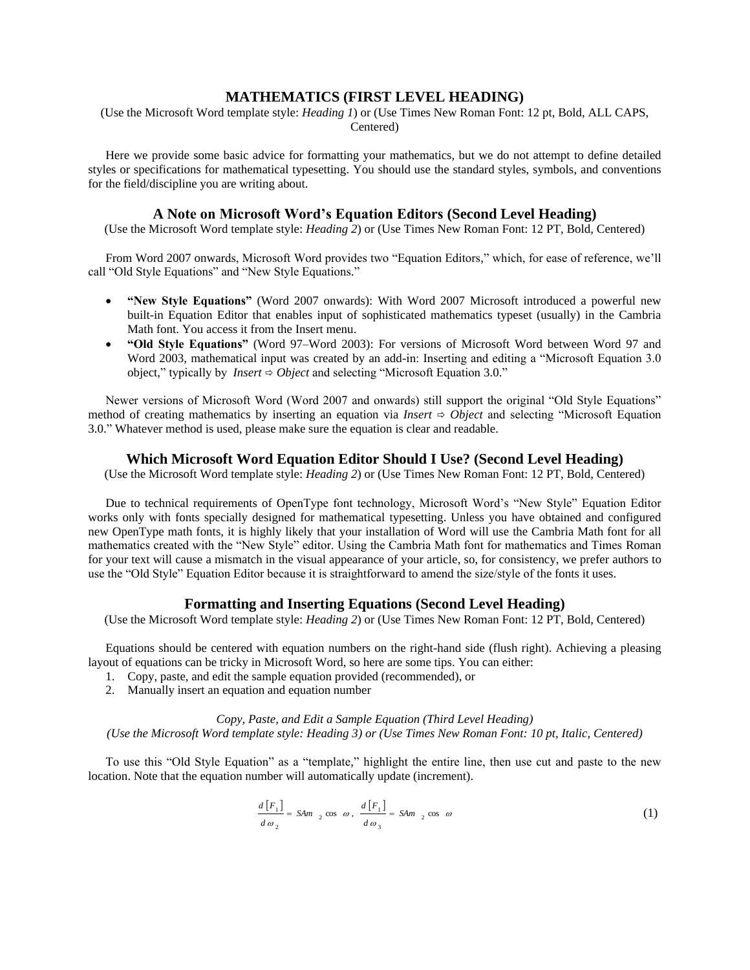## **MATHEMATICS (FIRST LEVEL HEADING)**

(Use the Microsoft Word template style: *Heading 1*) or (Use Times New Roman Font: 12 pt, Bold, ALL CAPS, Centered)

Here we provide some basic advice for formatting your mathematics, but we do not attempt to define detailed styles or specifications for mathematical typesetting. You should use the standard styles, symbols, and conventions for the field/discipline you are writing about.

#### **A Note on Microsoft Word's Equation Editors (Second Level Heading)**

(Use the Microsoft Word template style: *Heading 2*) or (Use Times New Roman Font: 12 PT, Bold, Centered)

From Word 2007 onwards, Microsoft Word provides two "Equation Editors," which, for ease of reference, we'll call "Old Style Equations" and "New Style Equations."

- **"New Style Equations"** (Word 2007 onwards): With Word 2007 Microsoft introduced a powerful new built-in Equation Editor that enables input of sophisticated mathematics typeset (usually) in the Cambria Math font. You access it from the Insert menu.
- **"Old Style Equations"** (Word 97–Word 2003): For versions of Microsoft Word between Word 97 and Word 2003, mathematical input was created by an add-in: Inserting and editing a "Microsoft Equation 3.0 object," typically by *Insert*  $\Rightarrow$  *Object* and selecting "Microsoft Equation 3.0."

Newer versions of Microsoft Word (Word 2007 and onwards) still support the original "Old Style Equations" method of creating mathematics by inserting an equation via *Insert*  $\Rightarrow$  *Object* and selecting "Microsoft Equation 3.0." Whatever method is used, please make sure the equation is clear and readable.

## **Which Microsoft Word Equation Editor Should I Use? (Second Level Heading)**

(Use the Microsoft Word template style: *Heading 2*) or (Use Times New Roman Font: 12 PT, Bold, Centered)

Due to technical requirements of OpenType font technology, Microsoft Word's "New Style" Equation Editor works only with fonts specially designed for mathematical typesetting. Unless you have obtained and configured new OpenType math fonts, it is highly likely that your installation of Word will use the Cambria Math font for all mathematics created with the "New Style" editor. Using the Cambria Math font for mathematics and Times Roman for your text will cause a mismatch in the visual appearance of your article, so, for consistency, we prefer authors to use the "Old Style" Equation Editor because it is straightforward to amend the size/style of the fonts it uses.

## **Formatting and Inserting Equations (Second Level Heading)**

(Use the Microsoft Word template style: *Heading 2*) or (Use Times New Roman Font: 12 PT, Bold, Centered)

Equations should be centered with equation numbers on the right-hand side (flush right). Achieving a pleasing layout of equations can be tricky in Microsoft Word, so here are some tips. You can either:

- 1. Copy, paste, and edit the sample equation provided (recommended), or
- 2. Manually insert an equation and equation number

*Copy, Paste, and Edit a Sample Equation (Third Level Heading) (Use the Microsoft Word template style: Heading 3) or (Use Times New Roman Font: 10 pt, Italic, Centered)*

To use this "Old Style Equation" as a "template," highlight the entire line, then use cut and paste to the new location. Note that the equation number will automatically update (increment).

$$
\frac{d\left[F_{1}\right]}{d\omega_{2}} = SAM_{2}\cos\omega, \quad \frac{d\left[F_{1}\right]}{d\omega_{3}} = SAM_{2}\cos\omega
$$
\n(1)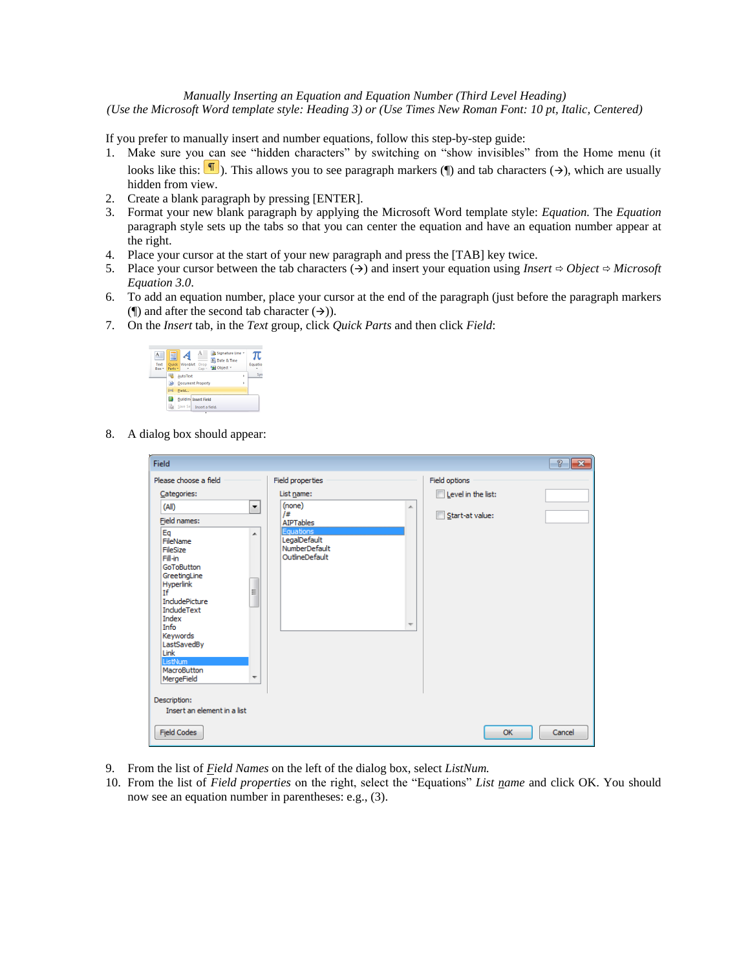## *Manually Inserting an Equation and Equation Number (Third Level Heading)*

*(Use the Microsoft Word template style: Heading 3) or (Use Times New Roman Font: 10 pt, Italic, Centered)*

If you prefer to manually insert and number equations, follow this step-by-step guide:

- 1. Make sure you can see "hidden characters" by switching on "show invisibles" from the Home menu (it looks like this:  $\P$ ). This allows you to see paragraph markers ( $\P$ ) and tab characters ( $\rightarrow$ ), which are usually hidden from view.
- 2. Create a blank paragraph by pressing [ENTER].
- 3. Format your new blank paragraph by applying the Microsoft Word template style: *Equation.* The *Equation* paragraph style sets up the tabs so that you can center the equation and have an equation number appear at the right.
- 4. Place your cursor at the start of your new paragraph and press the [TAB] key twice.
- 5. Place your cursor between the tab characters  $(\rightarrow)$  and insert your equation using *Insert*  $\Rightarrow$  *Object*  $\Rightarrow$  *Microsoft Equation 3.0*.
- 6. To add an equation number, place your cursor at the end of the paragraph (just before the paragraph markers ( $\parallel$ ) and after the second tab character ( $\rightarrow$ )).
- 7. On the *Insert* tab, in the *Text* group, click *Quick Parts* and then click *Field*:



8. A dialog box should appear:

| Field                                                                                                                                                                                                                                                                   |                                                                                          |                    | $\overline{v}$<br>$\ x\ $ |
|-------------------------------------------------------------------------------------------------------------------------------------------------------------------------------------------------------------------------------------------------------------------------|------------------------------------------------------------------------------------------|--------------------|---------------------------|
| Please choose a field                                                                                                                                                                                                                                                   | Field properties                                                                         | Field options      |                           |
| Categories:                                                                                                                                                                                                                                                             | List name:                                                                               | Level in the list: |                           |
| $\overline{\phantom{a}}$<br>(A  )                                                                                                                                                                                                                                       | (none)<br>×.                                                                             |                    |                           |
| Field names:                                                                                                                                                                                                                                                            | /#<br><b>AIPTables</b>                                                                   | Start-at value:    |                           |
| Eq<br>▲<br>FileName<br>FileSize<br>Fill-in<br>GoToButton<br>GreetingLine<br>Hyperlink<br>E<br>If<br><b>IncludePicture</b><br><b>IncludeText</b><br>Index<br>Info<br>Keywords<br>LastSavedBy<br>Link<br>ListNum<br>MacroButton<br>$\overline{\phantom{a}}$<br>MergeField | Equations<br>LegalDefault<br>NumberDefault<br>OutlineDefault<br>$\overline{\phantom{a}}$ |                    |                           |
| Description:                                                                                                                                                                                                                                                            |                                                                                          |                    |                           |
| Insert an element in a list                                                                                                                                                                                                                                             |                                                                                          |                    |                           |
| <b>Field Codes</b>                                                                                                                                                                                                                                                      |                                                                                          | OK                 | Cancel                    |

- 9. From the list of *Field Names* on the left of the dialog box, select *ListNum.*
- 10. From the list of *Field properties* on the right, select the "Equations" *List name* and click OK. You should now see an equation number in parentheses: e.g., (3).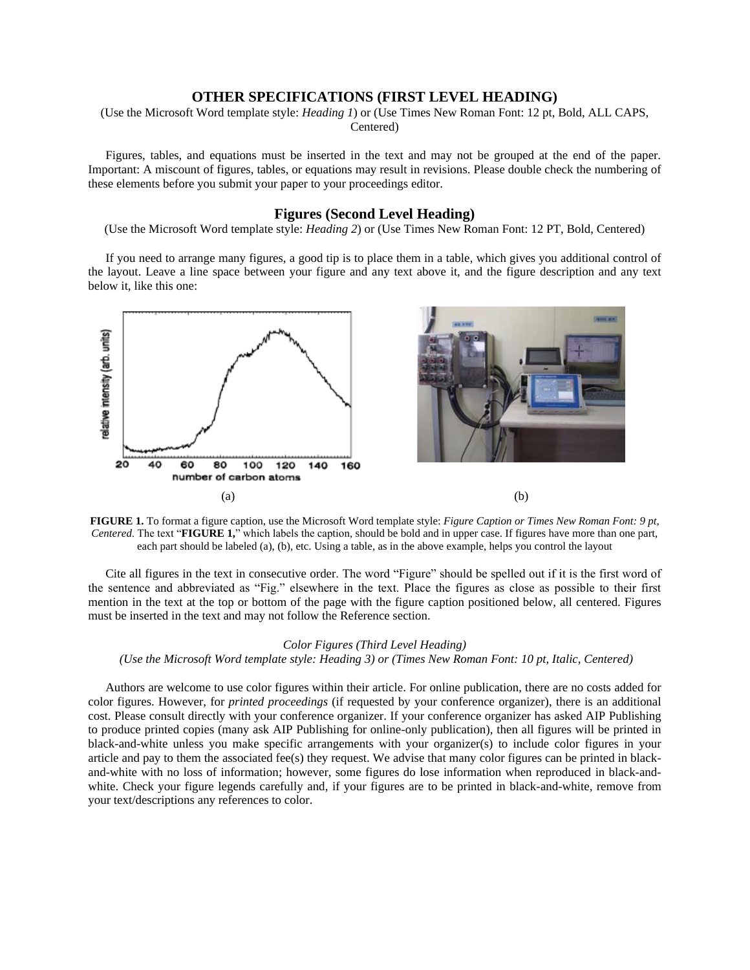# **OTHER SPECIFICATIONS (FIRST LEVEL HEADING)**

(Use the Microsoft Word template style: *Heading 1*) or (Use Times New Roman Font: 12 pt, Bold, ALL CAPS, Centered)

Figures, tables, and equations must be inserted in the text and may not be grouped at the end of the paper. Important: A miscount of figures, tables, or equations may result in revisions. Please double check the numbering of these elements before you submit your paper to your proceedings editor.

#### **Figures (Second Level Heading)**

(Use the Microsoft Word template style: *Heading 2*) or (Use Times New Roman Font: 12 PT, Bold, Centered)

If you need to arrange many figures, a good tip is to place them in a table, which gives you additional control of the layout. Leave a line space between your figure and any text above it, and the figure description and any text below it, like this one:



**FIGURE 1.** To format a figure caption, use the Microsoft Word template style: *Figure Caption or Times New Roman Font: 9 pt, Centered*. The text "**FIGURE 1,**" which labels the caption, should be bold and in upper case. If figures have more than one part, each part should be labeled (a), (b), etc. Using a table, as in the above example, helps you control the layout

Cite all figures in the text in consecutive order. The word "Figure" should be spelled out if it is the first word of the sentence and abbreviated as "Fig." elsewhere in the text. Place the figures as close as possible to their first mention in the text at the top or bottom of the page with the figure caption positioned below, all centered. Figures must be inserted in the text and may not follow the Reference section.

#### *Color Figures (Third Level Heading)*

*(Use the Microsoft Word template style: Heading 3) or (Times New Roman Font: 10 pt, Italic, Centered)*

Authors are welcome to use color figures within their article. For online publication, there are no costs added for color figures. However, for *printed proceedings* (if requested by your conference organizer), there is an additional cost. Please consult directly with your conference organizer. If your conference organizer has asked AIP Publishing to produce printed copies (many ask AIP Publishing for online-only publication), then all figures will be printed in black-and-white unless you make specific arrangements with your organizer(s) to include color figures in your article and pay to them the associated fee(s) they request. We advise that many color figures can be printed in blackand-white with no loss of information; however, some figures do lose information when reproduced in black-andwhite. Check your figure legends carefully and, if your figures are to be printed in black-and-white, remove from your text/descriptions any references to color.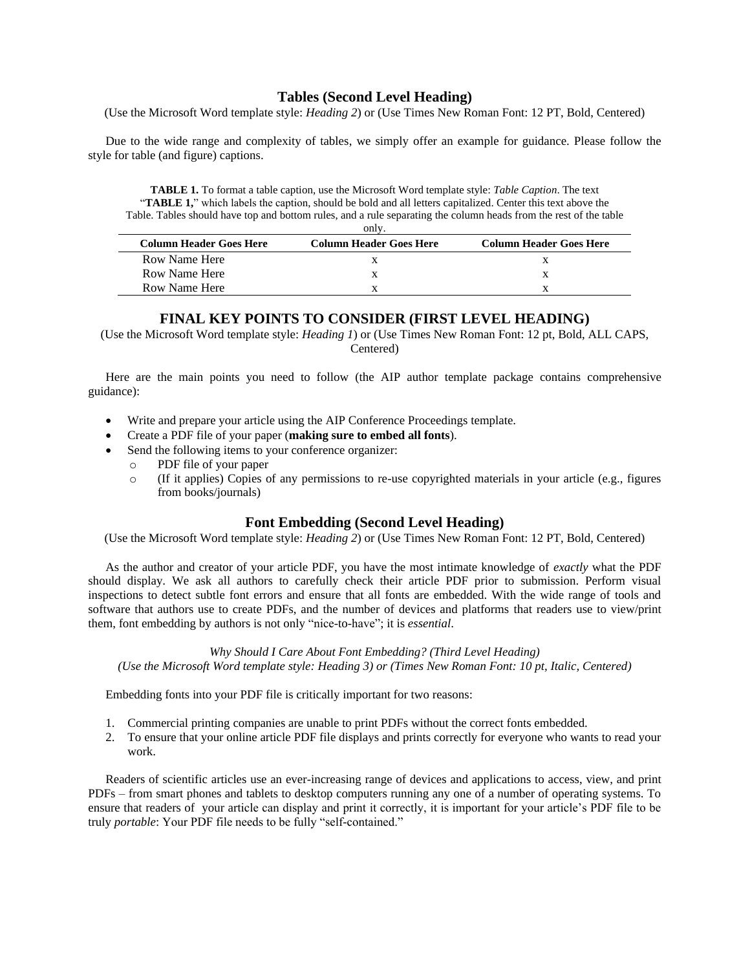# **Tables (Second Level Heading)**

(Use the Microsoft Word template style: *Heading 2*) or (Use Times New Roman Font: 12 PT, Bold, Centered)

Due to the wide range and complexity of tables, we simply offer an example for guidance. Please follow the style for table (and figure) captions.

**TABLE 1.** To format a table caption, use the Microsoft Word template style: *Table Caption*. The text "TABLE 1," which labels the caption, should be bold and all letters capitalized. Center this text above the Table. Tables should have top and bottom rules, and a rule separating the column heads from the rest of the table

| only                           |                                |                         |  |
|--------------------------------|--------------------------------|-------------------------|--|
| <b>Column Header Goes Here</b> | <b>Column Header Goes Here</b> | Column Header Goes Here |  |
| Row Name Here                  |                                |                         |  |
| Row Name Here                  |                                |                         |  |
| Row Name Here                  |                                |                         |  |

# **FINAL KEY POINTS TO CONSIDER (FIRST LEVEL HEADING)**

(Use the Microsoft Word template style: *Heading 1*) or (Use Times New Roman Font: 12 pt, Bold, ALL CAPS, Centered)

Here are the main points you need to follow (the AIP author template package contains comprehensive guidance):

- Write and prepare your article using the AIP Conference Proceedings template.
- Create a PDF file of your paper (**making sure to embed all fonts**).
- Send the following items to your conference organizer:
	- o PDF file of your paper
	- o (If it applies) Copies of any permissions to re-use copyrighted materials in your article (e.g., figures from books/journals)

# **Font Embedding (Second Level Heading)**

(Use the Microsoft Word template style: *Heading 2*) or (Use Times New Roman Font: 12 PT, Bold, Centered)

As the author and creator of your article PDF, you have the most intimate knowledge of *exactly* what the PDF should display. We ask all authors to carefully check their article PDF prior to submission. Perform visual inspections to detect subtle font errors and ensure that all fonts are embedded. With the wide range of tools and software that authors use to create PDFs, and the number of devices and platforms that readers use to view/print them, font embedding by authors is not only "nice-to-have"; it is *essential*.

*Why Should I Care About Font Embedding? (Third Level Heading) (Use the Microsoft Word template style: Heading 3) or (Times New Roman Font: 10 pt, Italic, Centered)*

Embedding fonts into your PDF file is critically important for two reasons:

- 1. Commercial printing companies are unable to print PDFs without the correct fonts embedded.
- 2. To ensure that your online article PDF file displays and prints correctly for everyone who wants to read your work.

Readers of scientific articles use an ever-increasing range of devices and applications to access, view, and print PDFs – from smart phones and tablets to desktop computers running any one of a number of operating systems. To ensure that readers of your article can display and print it correctly, it is important for your article's PDF file to be truly *portable*: Your PDF file needs to be fully "self-contained."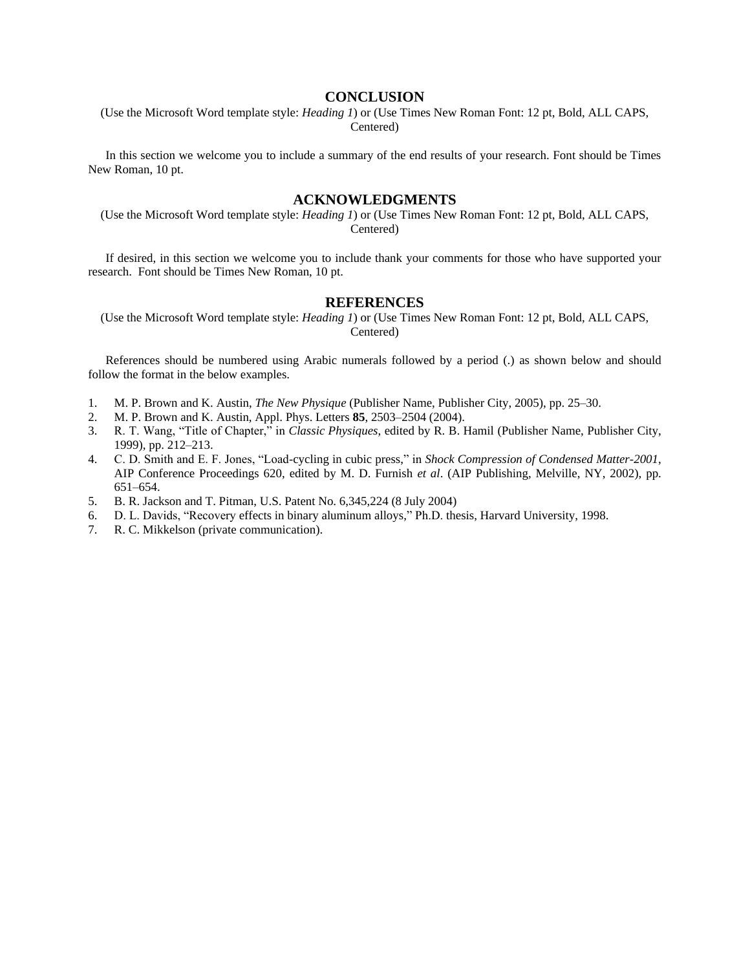#### **CONCLUSION**

(Use the Microsoft Word template style: *Heading 1*) or (Use Times New Roman Font: 12 pt, Bold, ALL CAPS, Centered)

In this section we welcome you to include a summary of the end results of your research. Font should be Times New Roman, 10 pt.

## **ACKNOWLEDGMENTS**

(Use the Microsoft Word template style: *Heading 1*) or (Use Times New Roman Font: 12 pt, Bold, ALL CAPS, Centered)

If desired, in this section we welcome you to include thank your comments for those who have supported your research. Font should be Times New Roman, 10 pt.

#### **REFERENCES**

(Use the Microsoft Word template style: *Heading 1*) or (Use Times New Roman Font: 12 pt, Bold, ALL CAPS, Centered)

References should be numbered using Arabic numerals followed by a period (.) as shown below and should follow the format in the below examples.

- 1. M. P. Brown and K. Austin, *The New Physique* (Publisher Name, Publisher City, 2005), pp. 25–30.
- 2. M. P. Brown and K. Austin, Appl. Phys. Letters **85**, 2503–2504 (2004).
- 3. R. T. Wang, "Title of Chapter," in *Classic Physiques*, edited by R. B. Hamil (Publisher Name, Publisher City, 1999), pp. 212–213.
- 4. C. D. Smith and E. F. Jones, "Load-cycling in cubic press," in *Shock Compression of Condensed Matter-2001*, AIP Conference Proceedings 620, edited by M. D. Furnish *et al*. (AIP Publishing, Melville, NY, 2002), pp. 651–654.
- 5. B. R. Jackson and T. Pitman, U.S. Patent No. 6,345,224 (8 July 2004)
- 6. D. L. Davids, "Recovery effects in binary aluminum alloys," Ph.D. thesis, Harvard University, 1998.
- 7. R. C. Mikkelson (private communication).